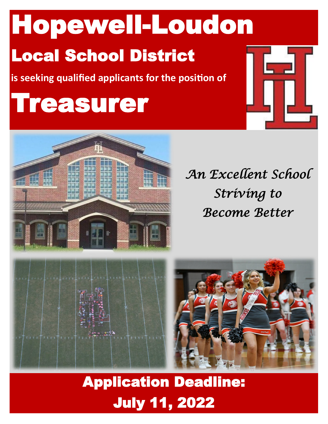Hopewell-Loudon

# Local School District

**is seeking qualified applicants for the position of**

# Treasurer





*An Excellent School Striving to Become Better* 



## Application Deadline: July 11, 2022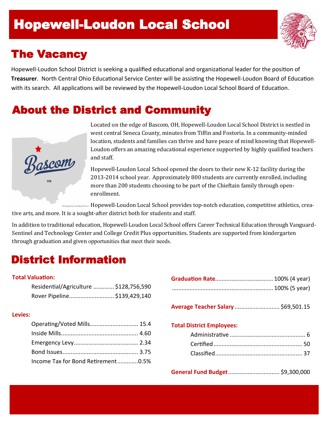### ł Hopewell-Loudon Local School

### The Vacancy

Hopewell-Loudon School District is seeking a qualified educational and organizational leader for the position of **Treasurer**. North Central Ohio Educational Service Center will be assisting the Hopewell-Loudon Board of Education with its search. All applications will be reviewed by the Hopewell-Loudon Local School Board of Education.

### About the District and Community



Located on the edge of Bascom, OH, Hopewell-Loudon Local School District is nestled in west central Seneca County, minutes from Tiffin and Fostoria. In a community-minded location, students and families can thrive and have peace of mind knowing that Hopewell-Loudon offers an amazing educational experience supported by highly qualified teachers and staff.

Hopewell-Loudon Local School opened the doors to their new K-12 facility during the 2013-2014 school year. Approximately 800 students are currently enrolled, including more than 200 students choosing to be part of the Chieftain family through openenrollment.

Hopewell-Loudon Local School provides top-notch education, competitive athletics, crea-**\*** Decianed by TownManeLISA com

tive arts, and more. It is a sought-after district both for students and staff.

In addition to traditional education, Hopewell-Loudon Local School offers Career Technical Education through Vanguard-Sentinel and Technology Center and College Credit Plus opportunities. Students are supported from kindergarten through graduation and given opportunities that meet their needs.

### District Information

### **Total Valuation:**

| Residential/Agriculture  \$128,756,590 |  |
|----------------------------------------|--|
| Rover Pipeline \$139,429,140           |  |

### **Levies:**

| Operating/Voted Mills 15.4         |  |
|------------------------------------|--|
|                                    |  |
|                                    |  |
|                                    |  |
| Income Tax for Bond Retirement0.5% |  |

**Average Teacher Salary** ............................ \$69,501.15

### **Total District Employees:**

**General Fund Budget**................................ \$9,300,000